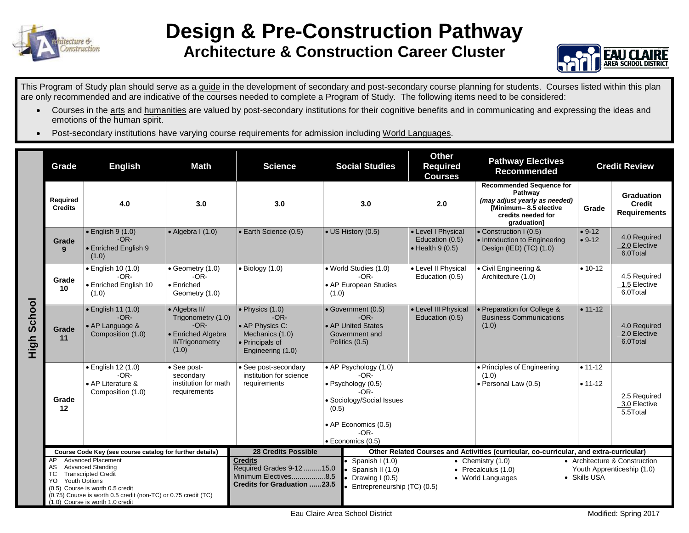

## **Design & Pre-Construction Pathway Architecture & Construction Career Cluster**



This Program of Study plan should serve as a guide in the development of secondary and post-secondary course planning for students. Courses listed within this plan are only recommended and are indicative of the courses needed to complete a Program of Study. The following items need to be considered:

- Courses in the arts and humanities are valued by post-secondary institutions for their cognitive benefits and in communicating and expressing the ideas and emotions of the human spirit.
- Post-secondary institutions have varying course requirements for admission including World Languages.

|                | Grade                                   | <b>Math</b><br><b>Science</b><br><b>English</b>                                                                                                                                                  |                                                                                                        | <b>Social Studies</b>                                                                                                             |       | <b>Other</b><br><b>Required</b><br><b>Courses</b>                                                                                                 | <b>Pathway Electives</b><br><b>Recommended</b>                                          |                                                                                                                                                  | <b>Credit Review</b>       |                                                    |
|----------------|-----------------------------------------|--------------------------------------------------------------------------------------------------------------------------------------------------------------------------------------------------|--------------------------------------------------------------------------------------------------------|-----------------------------------------------------------------------------------------------------------------------------------|-------|---------------------------------------------------------------------------------------------------------------------------------------------------|-----------------------------------------------------------------------------------------|--------------------------------------------------------------------------------------------------------------------------------------------------|----------------------------|----------------------------------------------------|
|                | <b>Required</b><br><b>Credits</b>       | 4.0                                                                                                                                                                                              | 3.0                                                                                                    | 3.0                                                                                                                               |       | 3.0                                                                                                                                               | 2.0                                                                                     | <b>Recommended Sequence for</b><br>Pathway<br>(may adjust yearly as needed)<br><b>IMinimum-8.5 elective</b><br>credits needed for<br>araduation1 | Grade                      | <b>Graduation</b><br>Credit<br><b>Requirements</b> |
| School<br>High | Grade<br>9                              | $\bullet$ English 9 (1.0)<br>$-OR-$<br>• Enriched English 9<br>(1.0)                                                                                                                             | $\bullet$ Algebra I $(1.0)$                                                                            | · Earth Science (0.5)                                                                                                             |       | • US History (0.5)                                                                                                                                | • Level I Physical<br>Education (0.5)<br>$\bullet$ Health 9 (0.5)                       | • Construction I (0.5)<br>• Introduction to Engineering<br>Design (IED) (TC) (1.0)                                                               | $• 9-12$<br>$• 9-12$       | 4.0 Required<br>2.0 Elective<br>6.0Total           |
|                | Grade<br>10                             | · English 10 (1.0)<br>$-OR-$<br>• Enriched English 10<br>(1.0)                                                                                                                                   | $\bullet$ Geometry (1.0)<br>$-OR-$<br>$\bullet$ Enriched<br>Geometry (1.0)                             | $\bullet$ Biology (1.0)                                                                                                           | (1.0) | • World Studies (1.0)<br>$-OR-$<br>• AP European Studies                                                                                          | • Level II Physical<br>Education (0.5)                                                  | • Civil Engineering &<br>Architecture (1.0)                                                                                                      | $• 10-12$                  | 4.5 Required<br>1.5 Elective<br>6.0Total           |
|                | Grade<br>11                             | • English 11 (1.0)<br>$-OR-$<br>• AP Language &<br>Composition (1.0)                                                                                                                             | • Algebra II/<br>Trigonometry (1.0)<br>$-OR-$<br>• Enriched Algebra<br><b>II/Trigonometry</b><br>(1.0) | $\bullet$ Physics (1.0)<br>$-OR-$<br>• AP Physics C:<br>Mechanics (1.0)<br>· Principals of<br>Engineering (1.0)                   |       | • Government (0.5)<br>$-OR-$<br>• AP United States<br>Government and<br>Politics (0.5)                                                            | • Level III Physical<br>Education (0.5)                                                 | • Preparation for College &<br><b>Business Communications</b><br>(1.0)                                                                           | $• 11-12$                  | 4.0 Required<br>2.0 Elective<br>6.0Total           |
|                | Grade<br>12                             | $\bullet$ English 12 (1.0)<br>$-OR-$<br>• AP Literature &<br>Composition (1.0)                                                                                                                   | • See post-<br>secondary<br>institution for math<br>requirements                                       | · See post-secondary<br>institution for science<br>requirements                                                                   | (0.5) | • AP Psychology (1.0)<br>$-OR-$<br>· Psychology (0.5)<br>$-OR-$<br>Sociology/Social Issues<br>• AP Economics (0.5)<br>$-OR-$<br>· Economics (0.5) |                                                                                         | • Principles of Engineering<br>(1.0)<br>• Personal Law (0.5)                                                                                     | $• 11 - 12$<br>$• 11 - 12$ | 2.5 Required<br>3.0 Elective<br>5.5Total           |
|                | AP                                      | Course Code Key (see course catalog for further details)<br><b>Advanced Placement</b>                                                                                                            |                                                                                                        | 28 Credits Possible<br><b>Credits</b><br>Required Grades 9-12  15.0<br>Minimum Electives8.5<br><b>Credits for Graduation 23.5</b> |       | Other Related Courses and Activities (curricular, co-curricular, and extra-curricular)<br>• Architecture & Construction                           |                                                                                         |                                                                                                                                                  |                            |                                                    |
|                | AS<br>ТC<br><b>Youth Options</b><br>YO. | <b>Advanced Standing</b><br><b>Transcripted Credit</b><br>(0.5) Course is worth 0.5 credit<br>(0.75) Course is worth 0.5 credit (non-TC) or 0.75 credit (TC)<br>(1.0) Course is worth 1.0 credit |                                                                                                        |                                                                                                                                   |       | Spanish I (1.0)<br>Spanish II (1.0)<br>Drawing I (0.5)<br>Entrepreneurship (TC) (0.5)                                                             | • Chemistry $(1.0)$<br>$\bullet$ Precalculus (1.0)<br>• Skills USA<br>• World Languages |                                                                                                                                                  |                            | Youth Apprenticeship (1.0)                         |